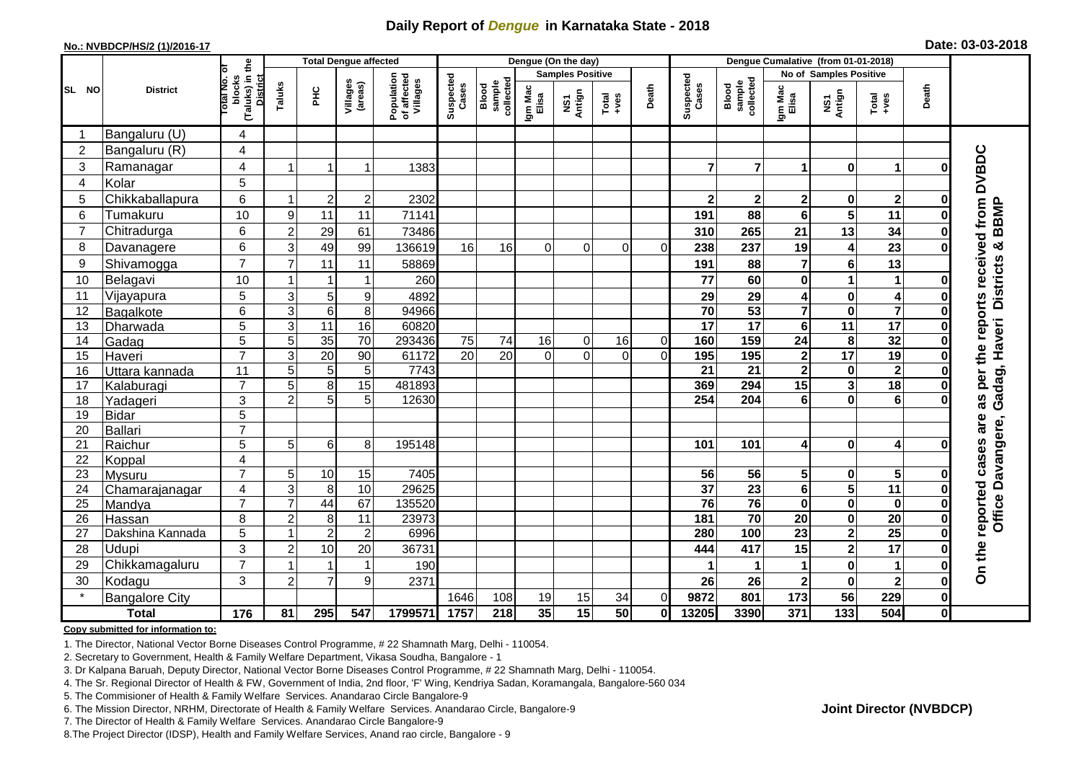## **Daily Report of** *Dengue* **in Karnataka State - 2018**

#### **No.: NVBDCP/HS/2 (1)/2016-17**

|  | Date: 03-03-2018 |  |
|--|------------------|--|
|--|------------------|--|

|                |                       |                                                       | <b>Total Dengue affected</b> |                 |                     |                                       |                    |                              |                         | Dengue (On the day) |                  |                |                       |                              |                              |                                        |                         |               |                                              |
|----------------|-----------------------|-------------------------------------------------------|------------------------------|-----------------|---------------------|---------------------------------------|--------------------|------------------------------|-------------------------|---------------------|------------------|----------------|-----------------------|------------------------------|------------------------------|----------------------------------------|-------------------------|---------------|----------------------------------------------|
|                |                       |                                                       |                              |                 |                     |                                       |                    |                              | <b>Samples Positive</b> |                     |                  |                |                       |                              | No of Samples Positive       |                                        |                         |               |                                              |
| SL NO          | <b>District</b>       | (Taluks) in the<br>District<br>lotal No. ol<br>blocks | Taluks                       | $rac{C}{\pi}$   | Villages<br>(areas) | Population<br>of affected<br>Villages | Suspected<br>Cases | sample<br>collected<br>Blood | Igm Mac<br>Elisa        | NS1<br>Antign       | $Tota$<br>$+ves$ | Death          | Suspected<br>Cases    | Blood<br>sample<br>collected | Igm Mac<br>Elisa             | NS1<br>Antign                          | Total<br>$+ve$ s        | Death         |                                              |
|                | Bangaluru (U)         | 4                                                     |                              |                 |                     |                                       |                    |                              |                         |                     |                  |                |                       |                              |                              |                                        |                         |               |                                              |
| $\overline{2}$ | Bangaluru (R)         | $\overline{4}$                                        |                              |                 |                     |                                       |                    |                              |                         |                     |                  |                |                       |                              |                              |                                        |                         |               |                                              |
| 3              | Ramanagar             | 4                                                     |                              |                 | 1                   | 1383                                  |                    |                              |                         |                     |                  |                | 7                     | $\overline{7}$               | 1                            | $\bf{0}$                               | 1                       | ŋ             | <b>DVBDC</b>                                 |
| 4              | Kolar                 | 5                                                     |                              |                 |                     |                                       |                    |                              |                         |                     |                  |                |                       |                              |                              |                                        |                         |               |                                              |
| 5              | Chikkaballapura       | 6                                                     | -1                           | $\overline{2}$  | $\boldsymbol{2}$    | 2302                                  |                    |                              |                         |                     |                  |                | $\mathbf{2}$          | $\boldsymbol{2}$             | 2                            | $\pmb{0}$                              | $\overline{\mathbf{2}}$ | 0             |                                              |
| 6              | Tumakuru              | 10                                                    | 9                            | 11              | 11                  | 71141                                 |                    |                              |                         |                     |                  |                | 191                   | 88                           | 6                            | 5                                      | 11                      | ŋ             | per the reports received from<br><b>BBMP</b> |
| $\overline{7}$ | Chitradurga           | 6                                                     | $\overline{2}$               | 29              | 61                  | 73486                                 |                    |                              |                         |                     |                  |                | 310                   | 265                          | 21                           | 13                                     | 34                      | ŋ             |                                              |
| 8              | Davanagere            | 6                                                     | 3                            | 49              | 99                  | 136619                                | 16                 | 16                           | 0                       | $\Omega$            | $\Omega$         | $\overline{0}$ | 238                   | 237                          | 19                           | 4                                      | 23                      | 0             |                                              |
| 9              | Shivamogga            | $\overline{7}$                                        | $\overline{7}$               | 11              | 11                  | 58869                                 |                    |                              |                         |                     |                  |                | 191                   | 88                           | 7                            | $\bf 6$                                | 13                      |               | Districts &                                  |
| 10             | Belagavi              | 10                                                    | -1                           | -1              | 1                   | 260                                   |                    |                              |                         |                     |                  |                | 77                    | 60                           | 0                            | $\mathbf 1$                            | $\mathbf 1$             | O             |                                              |
| 11             | Vijayapura            | 5                                                     | 3                            | 5               | 9                   | 4892                                  |                    |                              |                         |                     |                  |                | 29                    | 29                           | 4                            | $\pmb{0}$                              | $\overline{4}$          | 0             |                                              |
| 12             | Bagalkote             | 6                                                     | 3                            | 6               | 8                   | 94966                                 |                    |                              |                         |                     |                  |                | 70                    | 53                           | $\overline{\mathbf{7}}$      | $\overline{\mathbf{0}}$                | $\overline{7}$          | O             |                                              |
| 13             | Dharwada              | 5                                                     | 3                            | 11              | 16                  | 60820                                 |                    |                              |                         |                     |                  |                | 17                    | $\overline{17}$              | $6\phantom{a}$               | 11                                     | $\overline{17}$         | $\bf{0}$      | Gadag, Haveri                                |
| 14             | Gadag                 | $\overline{5}$                                        | $\overline{5}$               | 35              | $\overline{70}$     | 293436                                | 75                 | 74                           | 16                      | $\mathbf 0$         | 16               | $\overline{0}$ | 160                   | 159                          | $\overline{24}$              | 8                                      | 32                      | O             |                                              |
| 15             | Haveri                | $\overline{7}$                                        | 3                            | 20              | 90                  | 61172                                 | 20                 | 20                           | $\Omega$                | $\Omega$            | $\Omega$         | $\Omega$       | 195                   | 195                          | $\overline{\mathbf{2}}$      | $\overline{17}$                        | 19                      | $\bf{0}$      |                                              |
| 16             | Uttara kannada        | 11                                                    | 5                            | 5               | 5                   | 7743                                  |                    |                              |                         |                     |                  |                | $\overline{21}$       | $\overline{21}$              | $\overline{\mathbf{2}}$      | $\pmb{0}$                              | $\overline{\mathbf{2}}$ |               |                                              |
| 17             | Kalaburagi            | $\overline{7}$                                        | 5                            | 8               | 15                  | 481893                                |                    |                              |                         |                     |                  |                | 369                   | 294                          | 15                           | 3                                      | 18                      |               |                                              |
| 18             | Yadageri              | 3                                                     | $\overline{2}$               | 5               | 5                   | 12630                                 |                    |                              |                         |                     |                  |                | 254                   | 204                          | 6                            | $\bf{0}$                               | 6                       |               | as                                           |
| 19             | <b>Bidar</b>          | 5                                                     |                              |                 |                     |                                       |                    |                              |                         |                     |                  |                |                       |                              |                              |                                        |                         |               | are                                          |
| 20             | <b>Ballari</b>        | $\overline{7}$                                        |                              |                 |                     |                                       |                    |                              |                         |                     |                  |                |                       |                              |                              |                                        |                         |               |                                              |
| 21             | Raichur               | 5                                                     | 5                            | $6\phantom{1}6$ | 8                   | 195148                                |                    |                              |                         |                     |                  |                | 101                   | 101                          | 4                            | $\bf{0}$                               | $\overline{\mathbf{4}}$ |               |                                              |
| 22             | Koppal                | 4<br>$\overline{7}$                                   |                              |                 |                     |                                       |                    |                              |                         |                     |                  |                |                       |                              |                              |                                        |                         |               |                                              |
| 23             | Mysuru                |                                                       | 5<br>$\overline{3}$          | 10              | 15<br>10            | 7405<br>29625                         |                    |                              |                         |                     |                  |                | 56<br>$\overline{37}$ | 56<br>$\overline{23}$        | 5<br>$\overline{\mathbf{6}}$ | $\mathbf 0$<br>$\overline{\mathbf{5}}$ | 5<br>11                 | 0             |                                              |
| 24<br>25       | Chamarajanagar        | $\overline{4}$<br>$\overline{7}$                      | $\overline{7}$               | 8<br>44         | 67                  | 135520                                |                    |                              |                         |                     |                  |                | 76                    | 76                           | $\mathbf 0$                  | $\pmb{0}$                              | $\pmb{0}$               | 0<br>$\bf{0}$ | Office Davangere,                            |
| 26             | Mandya<br>Hassan      | 8                                                     | $\overline{2}$               | 8               | 11                  | 23973                                 |                    |                              |                         |                     |                  |                | $\overline{181}$      | 70                           | 20                           | $\mathbf 0$                            | $\overline{20}$         | $\bf{0}$      |                                              |
| 27             | Dakshina Kannada      | 5                                                     | -1                           | $\overline{c}$  | $\overline{2}$      | 6996                                  |                    |                              |                         |                     |                  |                | 280                   | 100                          | $\overline{23}$              | $\overline{\mathbf{2}}$                | $\overline{25}$         | 0             |                                              |
| 28             | <b>Udupi</b>          | 3                                                     | $\overline{c}$               | 10              | 20                  | 36731                                 |                    |                              |                         |                     |                  |                | 444                   | 417                          | 15                           | $\mathbf{2}$                           | 17                      | ŋ             |                                              |
| 29             | Chikkamagaluru        | $\overline{7}$                                        |                              |                 | $\overline{1}$      | 190                                   |                    |                              |                         |                     |                  |                |                       |                              | 1                            | $\mathbf 0$                            |                         | O             | On the reported cases                        |
| 30             | Kodagu                | 3                                                     | $\overline{c}$               | $\overline{7}$  | 9                   | 2371                                  |                    |                              |                         |                     |                  |                | 26                    | 26                           | 2                            | $\pmb{0}$                              | $\overline{\mathbf{2}}$ | 0             |                                              |
|                | <b>Bangalore City</b> |                                                       |                              |                 |                     |                                       | 1646               | 108                          | 19                      | 15                  | 34               | $\Omega$       | 9872                  | 801                          | 173                          | $\overline{56}$                        | 229                     | $\mathbf 0$   |                                              |
|                | <b>Total</b>          | 176                                                   | 81                           | 295             | 547                 | 1799571                               | 1757               | 218                          | 35                      | 15                  | 50               | 0l             | 13205                 | 3390                         | 371                          | $\overline{133}$                       | 504                     | $\mathbf{0}$  |                                              |

#### **Copy submitted for information to:**

1. The Director, National Vector Borne Diseases Control Programme, # 22 Shamnath Marg, Delhi - 110054.

2. Secretary to Government, Health & Family Welfare Department, Vikasa Soudha, Bangalore - 1

3. Dr Kalpana Baruah, Deputy Director, National Vector Borne Diseases Control Programme, # 22 Shamnath Marg, Delhi - 110054.

4. The Sr. Regional Director of Health & FW, Government of India, 2nd floor, 'F' Wing, Kendriya Sadan, Koramangala, Bangalore-560 034

5. The Commisioner of Health & Family Welfare Services. Anandarao Circle Bangalore-9

6. The Mission Director, NRHM, Directorate of Health & Family Welfare Services. Anandarao Circle, Bangalore-9

7. The Director of Health & Family Welfare Services. Anandarao Circle Bangalore-9

8.The Project Director (IDSP), Health and Family Welfare Services, Anand rao circle, Bangalore - 9